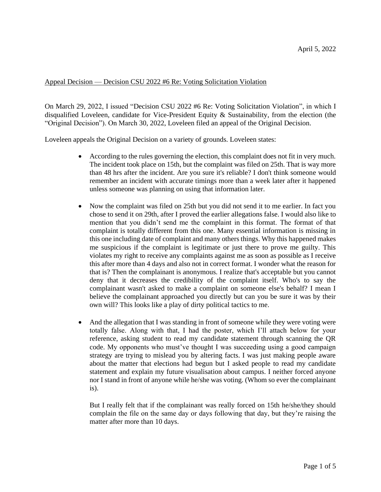## Appeal Decision — Decision CSU 2022 #6 Re: Voting Solicitation Violation

On March 29, 2022, I issued "Decision CSU 2022 #6 Re: Voting Solicitation Violation", in which I disqualified Loveleen, candidate for Vice-President Equity & Sustainability, from the election (the "Original Decision"). On March 30, 2022, Loveleen filed an appeal of the Original Decision.

Loveleen appeals the Original Decision on a variety of grounds. Loveleen states:

- According to the rules governing the election, this complaint does not fit in very much. The incident took place on 15th, but the complaint was filed on 25th. That is way more than 48 hrs after the incident. Are you sure it's reliable? I don't think someone would remember an incident with accurate timings more than a week later after it happened unless someone was planning on using that information later.
- Now the complaint was filed on 25th but you did not send it to me earlier. In fact you chose to send it on 29th, after I proved the earlier allegations false. I would also like to mention that you didn't send me the complaint in this format. The format of that complaint is totally different from this one. Many essential information is missing in this one including date of complaint and many others things. Why this happened makes me suspicious if the complaint is legitimate or just there to prove me guilty. This violates my right to receive any complaints against me as soon as possible as I receive this after more than 4 days and also not in correct format. I wonder what the reason for that is? Then the complainant is anonymous. I realize that's acceptable but you cannot deny that it decreases the credibility of the complaint itself. Who's to say the complainant wasn't asked to make a complaint on someone else's behalf? I mean I believe the complainant approached you directly but can you be sure it was by their own will? This looks like a play of dirty political tactics to me.
- And the allegation that I was standing in front of someone while they were voting were totally false. Along with that, I had the poster, which I'll attach below for your reference, asking student to read my candidate statement through scanning the QR code. My opponents who must've thought I was succeeding using a good campaign strategy are trying to mislead you by altering facts. I was just making people aware about the matter that elections had begun but I asked people to read my candidate statement and explain my future visualisation about campus. I neither forced anyone nor I stand in front of anyone while he/she was voting. (Whom so ever the complainant is).

But I really felt that if the complainant was really forced on 15th he/she/they should complain the file on the same day or days following that day, but they're raising the matter after more than 10 days.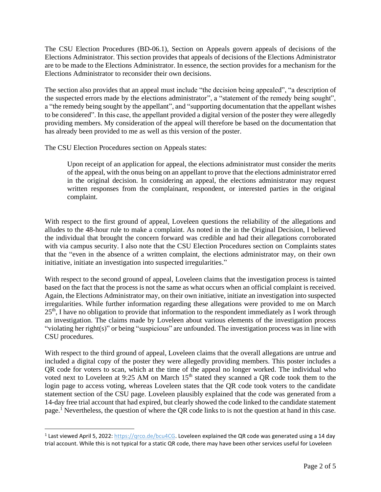The CSU Election Procedures (BD-06.1), Section on Appeals govern appeals of decisions of the Elections Administrator. This section provides that appeals of decisions of the Elections Administrator are to be made to the Elections Administrator. In essence, the section provides for a mechanism for the Elections Administrator to reconsider their own decisions.

The section also provides that an appeal must include "the decision being appealed", "a description of the suspected errors made by the elections administrator", a "statement of the remedy being sought", a "the remedy being sought by the appellant", and "supporting documentation that the appellant wishes to be considered". In this case, the appellant provided a digital version of the poster they were allegedly providing members. My consideration of the appeal will therefore be based on the documentation that has already been provided to me as well as this version of the poster.

The CSU Election Procedures section on Appeals states:

Upon receipt of an application for appeal, the elections administrator must consider the merits of the appeal, with the onus being on an appellant to prove that the elections administrator erred in the original decision. In considering an appeal, the elections administrator may request written responses from the complainant, respondent, or interested parties in the original complaint.

With respect to the first ground of appeal, Loveleen questions the reliability of the allegations and alludes to the 48-hour rule to make a complaint. As noted in the in the Original Decision, I believed the individual that brought the concern forward was credible and had their allegations corroborated with via campus security. I also note that the CSU Election Procedures section on Complaints states that the "even in the absence of a written complaint, the elections administrator may, on their own initiative, initiate an investigation into suspected irregularities."

With respect to the second ground of appeal, Loveleen claims that the investigation process is tainted based on the fact that the process is not the same as what occurs when an official complaint is received. Again, the Elections Administrator may, on their own initiative, initiate an investigation into suspected irregularities. While further information regarding these allegations were provided to me on March  $25<sup>th</sup>$ , I have no obligation to provide that information to the respondent immediately as I work through an investigation. The claims made by Loveleen about various elements of the investigation process "violating her right(s)" or being "suspicious" are unfounded. The investigation process was in line with CSU procedures.

With respect to the third ground of appeal, Loveleen claims that the overall allegations are untrue and included a digital copy of the poster they were allegedly providing members. This poster includes a QR code for voters to scan, which at the time of the appeal no longer worked. The individual who voted next to Loveleen at 9:25 AM on March  $15<sup>th</sup>$  stated they scanned a QR code took them to the login page to access voting, whereas Loveleen states that the QR code took voters to the candidate statement section of the CSU page. Loveleen plausibly explained that the code was generated from a 14-day free trial account that had expired, but clearly showed the code linked to the candidate statement page.<sup>1</sup> Nevertheless, the question of where the QR code links to is not the question at hand in this case.

<sup>&</sup>lt;sup>1</sup> Last viewed April 5, 2022: https://grco.de/bcu4CG. Loveleen explained the QR code was generated using a 14 day trial account. While this is not typical for a static QR code, there may have been other services useful for Loveleen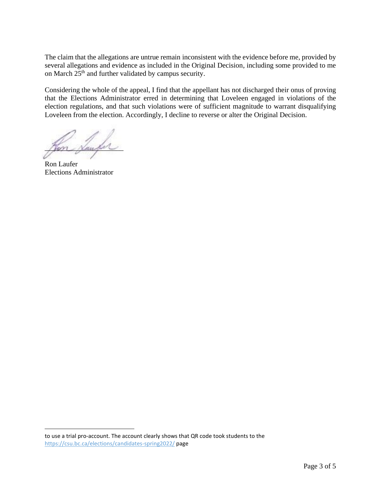The claim that the allegations are untrue remain inconsistent with the evidence before me, provided by several allegations and evidence as included in the Original Decision, including some provided to me on March  $25<sup>th</sup>$  and further validated by campus security.

Considering the whole of the appeal, I find that the appellant has not discharged their onus of proving that the Elections Administrator erred in determining that Loveleen engaged in violations of the election regulations, and that such violations were of sufficient magnitude to warrant disqualifying Loveleen from the election. Accordingly, I decline to reverse or alter the Original Decision.

Mon <u>Number</u>

Ron Laufer Elections Administrator

to use a trial pro-account. The account clearly shows that QR code took students to the <https://csu.bc.ca/elections/candidates-spring2022/> page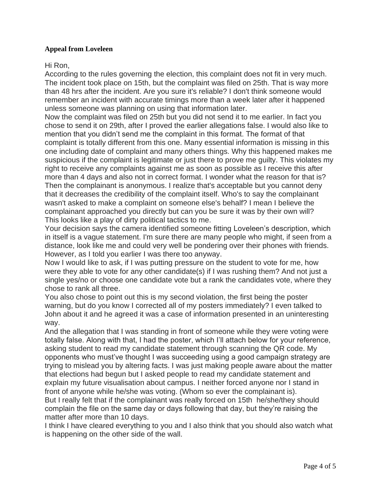## **Appeal from Loveleen**

## Hi Ron,

According to the rules governing the election, this complaint does not fit in very much. The incident took place on 15th, but the complaint was filed on 25th. That is way more than 48 hrs after the incident. Are you sure it's reliable? I don't think someone would remember an incident with accurate timings more than a week later after it happened unless someone was planning on using that information later.

Now the complaint was filed on 25th but you did not send it to me earlier. In fact you chose to send it on 29th, after I proved the earlier allegations false. I would also like to mention that you didn't send me the complaint in this format. The format of that complaint is totally different from this one. Many essential information is missing in this one including date of complaint and many others things. Why this happened makes me suspicious if the complaint is legitimate or just there to prove me guilty. This violates my right to receive any complaints against me as soon as possible as I receive this after more than 4 days and also not in correct format. I wonder what the reason for that is? Then the complainant is anonymous. I realize that's acceptable but you cannot deny that it decreases the credibility of the complaint itself. Who's to say the complainant wasn't asked to make a complaint on someone else's behalf? I mean I believe the complainant approached you directly but can you be sure it was by their own will? This looks like a play of dirty political tactics to me.

Your decision says the camera identified someone fitting Loveleen's description, which in itself is a vague statement. I'm sure there are many people who might, if seen from a distance, look like me and could very well be pondering over their phones with friends. However, as I told you earlier I was there too anyway.

Now I would like to ask, if I was putting pressure on the student to vote for me, how were they able to vote for any other candidate(s) if I was rushing them? And not just a single yes/no or choose one candidate vote but a rank the candidates vote, where they chose to rank all three.

You also chose to point out this is my second violation, the first being the poster warning, but do you know I corrected all of my posters immediately? I even talked to John about it and he agreed it was a case of information presented in an uninteresting way.

And the allegation that I was standing in front of someone while they were voting were totally false. Along with that, I had the poster, which I'll attach below for your reference, asking student to read my candidate statement through scanning the QR code. My opponents who must've thought I was succeeding using a good campaign strategy are trying to mislead you by altering facts. I was just making people aware about the matter that elections had begun but I asked people to read my candidate statement and explain my future visualisation about campus. I neither forced anyone nor I stand in front of anyone while he/she was voting. (Whom so ever the complainant is). But I really felt that if the complainant was really forced on 15th he/she/they should complain the file on the same day or days following that day, but they're raising the matter after more than 10 days.

I think I have cleared everything to you and I also think that you should also watch what is happening on the other side of the wall.